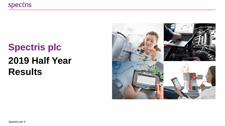# **Spectris plc 2019 Half Year Results**

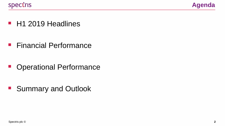

■ H1 2019 Headlines

**Exercial Performance** 

■ Operational Performance

■ Summary and Outlook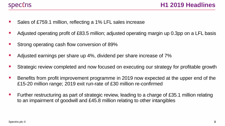

- Sales of £759.1 million, reflecting a 1% LFL sales increase
- Adjusted operating profit of £83.5 million; adjusted operating margin up 0.3pp on a LFL basis
- Strong operating cash flow conversion of 89%
- Adjusted earnings per share up 4%, dividend per share increase of 7%
- Strategic review completed and now focused on executing our strategy for profitable growth
- Benefits from profit improvement programme in 2019 now expected at the upper end of the £15-20 million range; 2019 exit run-rate of £30 million re-confirmed
- Eurther restructuring as part of strategic review, leading to a charge of £35.1 million relating to an impairment of goodwill and £45.8 million relating to other intangibles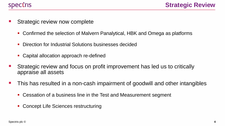

- Strategic review now complete
	- Confirmed the selection of Malvern Panalytical, HBK and Omega as platforms
	- Direction for Industrial Solutions businesses decided
	- Capital allocation approach re-defined
- Strategic review and focus on profit improvement has led us to critically appraise all assets
- This has resulted in a non-cash impairment of goodwill and other intangibles
	- Cessation of a business line in the Test and Measurement segment
	- Concept Life Sciences restructuring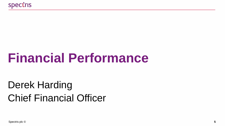# **Financial Performance**

# Derek Harding Chief Financial Officer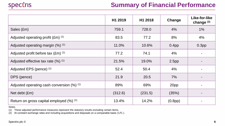

#### **Summary of Financial Performance**

|                                                        | H1 2019 | H1 2018 | Change            | Like-for-like<br>change (2) |
|--------------------------------------------------------|---------|---------|-------------------|-----------------------------|
| Sales (£m)                                             | 759.1   | 728.0   | 4%                | 1%                          |
| Adjusted operating profit $(Em)$ $(1)$                 | 83.5    | 77.2    | 8%                | 4%                          |
| Adjusted operating margin (%) (1)                      | 11.0%   | 10.6%   | 0.4 <sub>pp</sub> | 0.3 <sub>pp</sub>           |
| Adjusted profit before tax $(Em)$ $(1)$                | 77.2    | 74.1    | 4%                |                             |
| Adjusted effective tax rate $(\%)$ (1)                 | 21.5%   | 19.0%   | 2.5 <sub>pp</sub> |                             |
| Adjusted EPS (pence) (1)                               | 52.4    | 50.4    | 4%                |                             |
| DPS (pence)                                            | 21.9    | 20.5    | 7%                |                             |
| Adjusted operating cash conversion $(\%)$ (1)          | 89%     | 69%     | 20pp              |                             |
| Net debt (£m)                                          | (312.6) | (231.5) | (35%)             |                             |
| Return on gross capital employed $(\%)$ <sup>(1)</sup> | 13.4%   | 14.2%   | (0.8pp)           |                             |

Notes

(1) These adjusted performance measures represent the statutory results excluding certain items.

(2) At constant exchange rates and including acquisitions and disposals on a comparable basis ('LFL').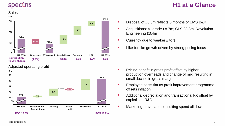#### **Sales**



Adjusted operating profit



- Disposal of £8.8m reflects 5 months of EMS B&K
- Acquisitions: VI-grade £8.7m; CLS £3.8m; Revolution Engineering £3.4m
- Currency due to weaker £ to \$
- Like-for-like growth driven by strong pricing focus

- **Pricing benefit in gross profit offset by higher** production overheads and change of mix, resulting in small decline in gross margin
- Employee costs flat as profit improvement programme offsets inflation
- Additional depreciation and transactional FX offset by capitalised R&D
- Marketing, travel and consulting spend all down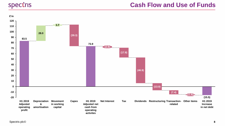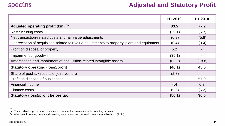

#### **Adjusted and Statutory Profit**

|                                                                                             | H1 2019        | H1 2018                  |
|---------------------------------------------------------------------------------------------|----------------|--------------------------|
| Adjusted operating profit (£m) (1)                                                          | 83.5           | 77.2                     |
| <b>Restructuring costs</b>                                                                  | (29.1)         | (6.7)                    |
| Net transaction-related costs and fair value adjustments                                    | (6.3)          | (5.8)                    |
| Depreciation of acquisition-related fair value adjustments to property, plant and equipment | (0.4)          | (0.4)                    |
| Profit on disposal of property                                                              | 5.2            |                          |
| Impairment of goodwill                                                                      | (35.1)         | $\overline{\phantom{0}}$ |
| Amortisation and impairment of acquisition-related intangible assets                        | (63.9)         | (18.8)                   |
| <b>Statutory operating (loss)/profit</b>                                                    | (46.1)         | 45.5                     |
| Share of post-tax results of joint venture                                                  | (2.8)          |                          |
| Profit on disposal of businesses                                                            | $\blacksquare$ | 57.0                     |
| <b>Financial income</b>                                                                     | 4.4            | 0.3                      |
| Finance costs                                                                               | (5.6)          | (6.2)                    |
| <b>Statutory (loss)/profit before tax</b>                                                   | (50.1)         | 96.6                     |

Notes

(1) These adjusted performance measures represent the statutory results excluding certain items.

(2) At constant exchange rates and including acquisitions and disposals on a comparable basis ('LFL').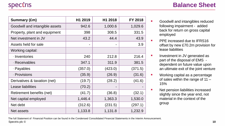| Summary (£m)                   | H1 2019 | H1 2018        | FY 2018 |
|--------------------------------|---------|----------------|---------|
| Goodwill and intangible assets | 942.6   | 1,000.6        | 1,029.6 |
| Property, plant and equipment  | 398     | 308.5          | 331.5   |
| Net investment in JV           | 43.2    | 44.4           | 43.9    |
| Assets held for sale           |         | $\blacksquare$ | 3.9     |
| Working capital:               |         |                |         |
| - Inventories                  | 240     | 212.8          | 216.4   |
| - Receivables                  | 347.1   | 311.9          | 381.5   |
| - Payables                     | (357.0) | (423.0)        | (371.5) |
| - Provisions                   | (35.9)  | (26.9)         | (31.6)  |
| Derivatives & taxation (net)   | (19.7)  | (28.2)         | (41.6)  |
| Lease liabilities              | (70.2)  |                |         |
| Retirement benefits (net)      | (41.7)  | (36.8)         | (32.1)  |
| Net capital employed           | 1,446.4 | 1,363.3        | 1,530.0 |
| Net debt                       | (312.6) | (231.5)        | (297.1) |
| Net assets                     | 1,133.8 | 1,131.8        | 1,232.9 |

- Goodwill and intangibles reduced following impairment - added back for return on gross capital employed
- PPE increased due to IFRS16 offset by new £70.2m provision for lease liabilities
- **■** Investment in JV generated as part of the disposal of EMS dependent on future value upon an ultimate exit of the joint venture
- Working capital as a percentage of sales within the range of 11 – 15%
- Net pension liabilities increased slightly since the year end, not material in the context of the group

Spectris plc © **10** The full Statement of Financial Position can be found in the Condensed Consolidated Financial Statements in the Interim Announcement.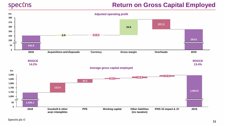#### **Return on Gross Capital Employed**



**ROGCE 14.2%**

**ROGCE 13.4%**

**Average gross capital employed**

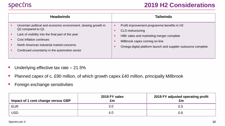#### **2019 H2 Considerations**

| <b>Headwinds</b>                                                                                                                                                                                                                                                      | <b>Tailwinds</b>                                                                                                                                                                                                              |
|-----------------------------------------------------------------------------------------------------------------------------------------------------------------------------------------------------------------------------------------------------------------------|-------------------------------------------------------------------------------------------------------------------------------------------------------------------------------------------------------------------------------|
| Uncertain political and economic environment, slowing growth in<br>Q2 compared to Q1<br>Lack of visibility into the final part of the year<br>Cost inflation continues<br>North American industrial market concerns<br>Continued uncertainty in the automotive sector | Profit improvement programme benefits in H2<br>٠<br>CLS restructuring<br>٠<br>HBK sales and marketing merger complete<br>Millbrook capex coming on-line<br>٠<br>Omega digital platform launch and supplier outsource complete |

- **•** Underlying effective tax rate  $-21.5%$
- Planned capex of c. £90 million, of which growth capex £40 million, principally Millbrook
- **•** Foreign exchange sensitivities

| Impact of 1 cent change versus GBP | 2019 FY sales<br>£m | 2019 FY adjusted operating profit<br>£m |
|------------------------------------|---------------------|-----------------------------------------|
| <b>EUR</b>                         | 3.0                 | 0.5                                     |
| <b>USD</b>                         | 4.0                 | 0.6                                     |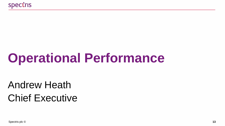# **Operational Performance**

# Andrew Heath Chief Executive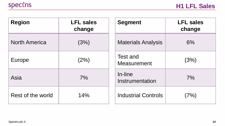| <b>Region</b>        | <b>LFL sales</b><br>change | <b>Segment</b>                 | <b>LFL sales</b><br>change |
|----------------------|----------------------------|--------------------------------|----------------------------|
| <b>North America</b> | (3%)                       | <b>Materials Analysis</b>      | 6%                         |
| Europe               | (2%)                       | Test and<br><b>Measurement</b> | (3%)                       |
| Asia                 | 7%                         | In-line<br>Instrumentation     | 7%                         |
| Rest of the world    | 14%                        | <b>Industrial Controls</b>     | (7%)                       |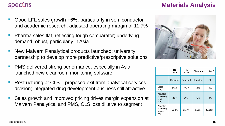- Good LFL sales growth +6%, particularly in semiconductor and academic research; adjusted operating margin of 11.7%
- Pharma sales flat, reflecting tough comparator; underlying demand robust, particularly in Asia
- New Malvern Panalytical products launched; university partnership to develop more predictive/prescriptive solutions
- PMS delivered strong performance, especially in Asia; launched new cleanroom monitoring software
- Restructuring at CLS proposed exit from analytical services division; integrated drug development business still attractive
- Sales growth and improved pricing drives margin expansion at Malvern Panalytical and PMS, CLS loss dilutive to segment



|                                                  | H <sub>1</sub><br>2018 | H1<br>2019 | Change vs. H1 2018 |         |
|--------------------------------------------------|------------------------|------------|--------------------|---------|
|                                                  | Reported               | Reported   | Reported           | LFL.    |
| Sales<br>E(m)                                    | 233.9                  | 254.6      | $+9%$              | +6%     |
| Adjusted<br>operating<br>profit<br>$(\text{Em})$ | 28.7                   | 29.7       | $+3%$              | $+3%$   |
| Adjusted<br>operating<br>margin<br>(%)           | 12.2%                  | 11.7%      | (0.5pp)            | (0.2pp) |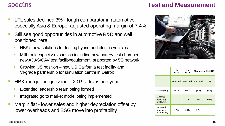#### **Spectris**

- LFL sales declined 3% tough comparator in automotive, especially Asia & Europe; adjusted operating margin of 7.4%
- Still see good opportunities in automotive R&D and well positioned here:
	- **EXECT:** HBK's new solutions for testing hybrid and electric vehicles
	- **EXEDENTIFY INTERS IN A THE MILTON CONCOCO EXPLORER** Millbrook capacity expansion including new battery test chambers, new ADAS/CAV test facility/equipment, supported by 5G network
	- Growing US position new US California test facility and VI-grade partnership for simulation centre in Detroit
- $HBK$  merger progressing  $-2019$  a transition year
	- **Extended leadership team being formed**
	- **EXECUTE:** Integrated go to market model being implemented
- Margin flat lower sales and higher depreciation offset by lower overheads and ESG move into profitability



|                                      | H1<br>2018 | H1<br>2019 | Change vs. H1 2018 |      |
|--------------------------------------|------------|------------|--------------------|------|
|                                      | Reported   | Reported   | Reported           | LFL. |
| Sales (£m)                           | 239.8      | 238.2      | (1%)               | (3%) |
| Adjusted<br>operating<br>profit (£m) | 17.2       | 17.6       | 2%                 | (3%) |
| Adjusted<br>operating<br>margin (%)  | 7.2%       | 7.4%       | 0.2 <sub>pp</sub>  |      |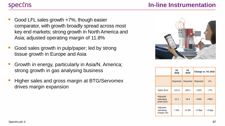#### **Spectris**

- Good LFL sales growth  $+7\%$ , though easier comparator, with growth broadly spread across most key end markets; strong growth in North America and Asia; adjusted operating margin of 11.8%
- Good sales growth in pulp/paper; led by strong tissue growth in Europe and Asia
- Growth in energy, particularly in Asia/N. America; strong growth in gas analysing business
- Higher sales and gross margin at BTG/Servomex drives margin expansion



|                                      | H1<br>2018 | H1<br>2019 |           | Change vs. H1 2018 |
|--------------------------------------|------------|------------|-----------|--------------------|
|                                      | Reported   | Reported   | Reported  | LFL.               |
| Sales (£m)                           | 141.8      | 156.1      | $+10%$    | $+7%$              |
| Adjusted<br>operating<br>profit (£m) | 11.2       | 18.4       | $+64%$    | $+56%$             |
| Adjusted<br>operating<br>margin (%)  | 7.9%       | 11.8%      | $+3.9$ pp | $+3.6$ pp          |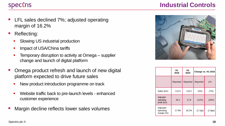#### **Spectris**

- LFL sales declined 7%; adjusted operating margin of 16.2%
- Reflecting:
	- Slowing US industrial production
	- **•** Impact of USA/China tariffs
	- **Temporary disruption to activity at Omega** supplier change and launch of digital platform
- Omega product refresh and launch of new digital platform expected to drive future sales
	- New product introduction programme on track
	- Website traffic back to pre-launch levels enhanced customer experience
- Margin decline reflects lower sales volumes

#### **Industrial Controls**



|                                      | H <sub>1</sub><br>2018 | H1<br>2019 |          | Change vs. H1 2018 |
|--------------------------------------|------------------------|------------|----------|--------------------|
|                                      | Reported               | Reported   | Reported | <b>LFL</b>         |
| Sales (£m)                           | 112.5                  | 110.2      | (2%)     | (7%)               |
| Adjusted<br>operating<br>profit (£m) | 20.1                   | 17.8       | $(11\%)$ | (16%)              |
| Adjusted<br>operating<br>margin (%)  | 17.9%                  | 16.2%      | (1.7pp)  | (1.9pp)            |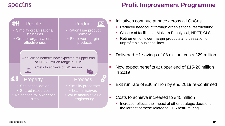

- Initiatives continue at pace across all OpCos
	- Reduced headcount through organisational restructuring
	- Closure of facilities at Malvern Panalytical, NDCT, CLS
	- Retirement of lower margin products and cessation of unprofitable business lines
- Delivered H1 savings of £8 million, costs £29 million
- Now expect benefits at upper end of £15-20 million in 2019
- Exit run rate of £30 million by end 2019 re-confirmed
- Costs to achieve increased to £45 million
	- Increase reflects the impact of other strategic decisions, the largest of these related to CLS restructuring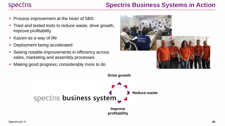### **Spectris Business Systems in Action**

- **Process improvement at the heart of SBS**
- **.** Tried and tested tools to reduce waste, drive growth, improve profitability
- Kaizen as a way of life
- Deployment being accelerated
- Seeing notable improvements in efficiency across sales, marketing and assembly processes
- Making good progress; considerably more to do



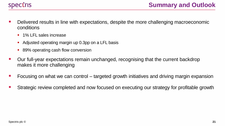

- Delivered results in line with expectations, despite the more challenging macroeconomic conditions
	- 1% LFL sales increase
	- Adjusted operating margin up 0.3pp on a LFL basis
	- 89% operating cash flow conversion
- Our full-year expectations remain unchanged, recognising that the current backdrop makes it more challenging
- Focusing on what we can control targeted growth initiatives and driving margin expansion
- Strategic review completed and now focused on executing our strategy for profitable growth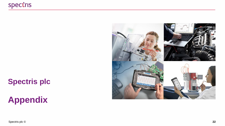## **Spectris plc**

## **Appendix**



Spectris plc ©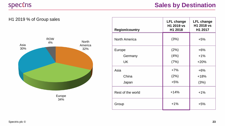

| <b>Region/country</b> | <b>LFL change</b><br>H1 2019 vs<br>H1 2018 | <b>LFL change</b><br>H1 2018 vs<br>H1 2017 |
|-----------------------|--------------------------------------------|--------------------------------------------|
| North America         | (3%)                                       | $+5%$                                      |
| Europe                | (2%)                                       | $+6%$                                      |
| Germany               | (4% )                                      | $+1%$                                      |
| UK                    | (7%)                                       | $+20%$                                     |
| Asia                  | $+7%$                                      | $+6%$                                      |
| China                 | (2%)                                       | $+18%$                                     |
| Japan                 | $+5%$                                      | (3%)                                       |
| Rest of the world     | $+14%$                                     | $+1%$                                      |
| Group                 | $+1%$                                      | $+5%$                                      |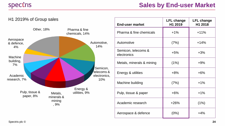

| <b>End-user market</b>             | <b>LFL change</b><br>H1 2019 | <b>LFL change</b><br>H1 2018 |
|------------------------------------|------------------------------|------------------------------|
| Pharma & fine chemicals            | $+1%$                        | $+11%$                       |
| Automotive                         | (7%)                         | $+14%$                       |
| Semicon, telecoms &<br>electronics | $+5%$                        | $+3%$                        |
| Metals, minerals & mining          | (1%)                         | $+9%$                        |
| Energy & utilities                 | $+8%$                        | $+6%$                        |
| Machine building                   | (7%)                         | $+1%$                        |
| Pulp, tissue & paper               | $+6%$                        | $+1%$                        |
| Academic research                  | $+26%$                       | (1%)                         |
| Aerospace & defence                | (0%)                         | $+4%$                        |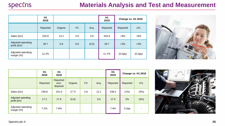#### **Materials Analysis and Test and Measurement**

|                                   | H1<br>2018 |         |           |       | H1<br>2019 | Change vs. H1 2018 |         |
|-----------------------------------|------------|---------|-----------|-------|------------|--------------------|---------|
|                                   | Reported   | Organic | <b>FX</b> | Acq.  | Reported   | Reported           | LFL     |
| Sales (£m)                        | 233.9      | 13.1    | 3.8       | 3.8   | 254.6      | $+9%$              | $+6%$   |
| Adjusted operating<br>profit (£m) | 28.7       | 0.9     | 0.6       | (0.5) | 29.7       | $+3%$              | $+3%$   |
| Adjusted operating<br>margin (%)  | 12.2%      |         |           |       | 11.7%      | (0.5pp)            | (0.2pp) |



|                                   | H <sub>1</sub><br>2018 | H1<br>2018                    |         |           |      | H <sub>1</sub><br>2019 | Change vs. H1 2018 |                |
|-----------------------------------|------------------------|-------------------------------|---------|-----------|------|------------------------|--------------------|----------------|
|                                   | Reported               | Reported<br>excl.<br>disposal | Organic | <b>FX</b> | Acq. | Reported               | Reported           | LFL            |
| Sales (£m)                        | 239.8                  | 231.0                         | (7.7)   | 2.8       | 12.1 | 238.2                  | (1%)               | (3%)           |
| Adjusted operating<br>profit (£m) | 17.2                   | 17.6                          | (0.6)   | ۰         | 0.6  | 17.6                   | 2%                 | (3%)           |
| Adjusted operating<br>margin (%)  | 7.2%                   | 7.6%                          |         |           |      | 7.4%                   | 0.2 <sub>pp</sub>  | $\blacksquare$ |

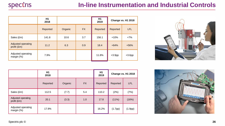|                                   | H1<br>2018 |         |           | H <sub>1</sub><br>2019 | Change vs. H1 2018 |            |
|-----------------------------------|------------|---------|-----------|------------------------|--------------------|------------|
|                                   | Reported   | Organic | <b>FX</b> | Reported               | Reported           | <b>LFL</b> |
| Sales (£m)                        | 141.8      | 10.6    | 3.7       | 156.1                  | $+10%$             | $+7%$      |
| Adjusted operating<br>profit (£m) | 11.2       | 6.3     | 0.9       | 18.4                   | $+64%$             | $+56%$     |
| Adjusted operating<br>margin (%)  | 7.9%       |         |           | 11.8%                  | $+3.9$ pp          | $+3.6$ pp  |



|                                     | H1<br>2018 |         |           | H1<br>2019 | Change vs. H1 2018 |            |
|-------------------------------------|------------|---------|-----------|------------|--------------------|------------|
|                                     | Reported   | Organic | <b>FX</b> | Reported   | Reported           | <b>LFL</b> |
| Sales (£m)                          | 112.5      | (7.7)   | 5.4       | 110.2      | (2%)               | (7%)       |
| Adjusted operating<br>profit (£m)   | 20.1       | (3.3)   | 1.0       | 17.8       | $(11\%)$           | (16%)      |
| Adjusted operating<br>margin $(\%)$ | 17.9%      |         |           | 16.2%      | (1.7pp)            | (1.9pp)    |

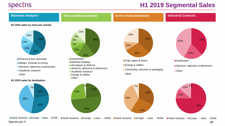#### **H1 2019 Segmental Sales**